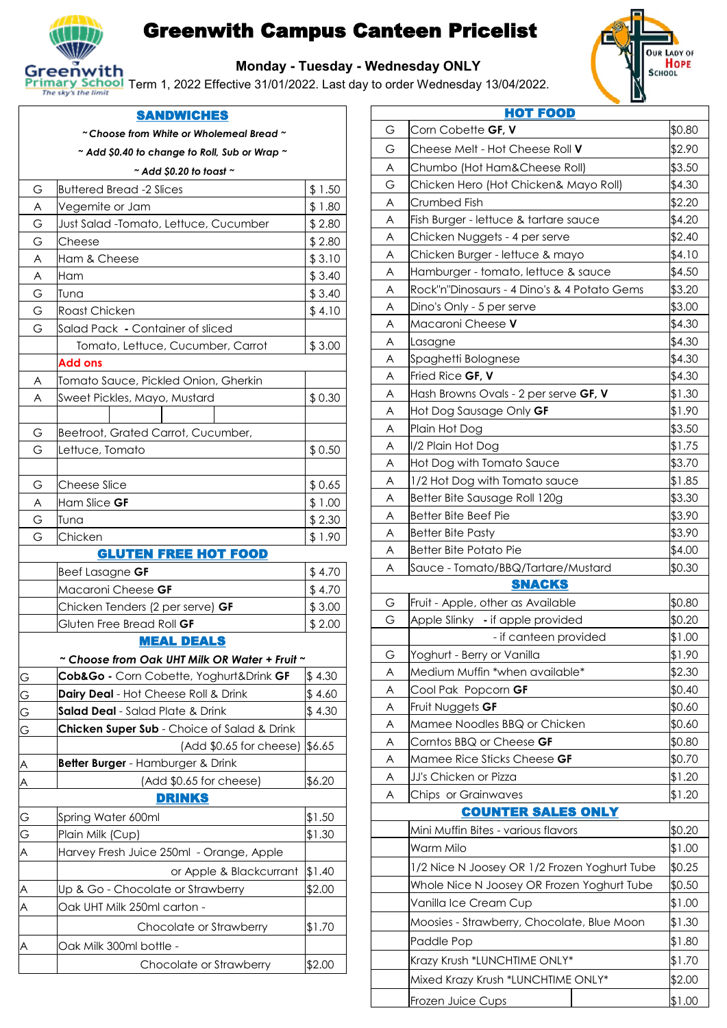

# Greenwith Campus Canteen Pricelist



#### **Monday - Tuesday - Wednesday ONLY**

**Primary School** Term 1, 2022 Effective 31/01/2022. Last day to order Wednesday 13/04/2022.

### **SANDWICHES**

*~ Choose from White or Wholemeal Bread ~*

**~** *Add \$0.40 to change to Roll, Sub or Wrap ~*

#### *~ Add \$0.20 to toast ~*

|                | HUU YU.ZU IU IUUSI                            |         |
|----------------|-----------------------------------------------|---------|
| G              | <b>Buttered Bread -2 Slices</b>               | \$ 1.50 |
| A              | Vegemite or Jam                               | \$1.80  |
| G              | Just Salad -Tomato, Lettuce, Cucumber         | \$2.80  |
| G              | Cheese                                        | \$2.80  |
| A              | Ham & Cheese                                  | \$3.10  |
| A              | Ham                                           | \$3.40  |
| G              | Tuna                                          | \$3.40  |
| G              | <b>Roast Chicken</b>                          | \$4.10  |
| G              | Salad Pack - Container of sliced              |         |
|                | Tomato, Lettuce, Cucumber, Carrot             | \$3.00  |
|                | Add ons                                       |         |
| A              | Tomato Sauce, Pickled Onion, Gherkin          |         |
| A              | Sweet Pickles, Mayo, Mustard                  | \$0.30  |
|                |                                               |         |
| G              | Beetroot, Grated Carrot, Cucumber,            |         |
| G              | Lettuce, Tomato                               | \$0.50  |
|                |                                               |         |
| G              | <b>Cheese Slice</b>                           | \$0.65  |
| A              | Ham Slice GF                                  | \$1.00  |
| G              | Tuna                                          | \$2.30  |
| G              | Chicken                                       | \$1.90  |
|                | <b>GLUTEN FREE HOT FOOD</b>                   |         |
|                | Beef Lasagne GF                               | \$4.70  |
|                | Macaroni Cheese GF                            | \$4.70  |
|                | Chicken Tenders (2 per serve) GF              | \$3.00  |
|                | Gluten Free Bread Roll GF                     | \$2.00  |
|                | <b>MEAL DEALS</b>                             |         |
|                | ~ Choose from Oak UHT Milk OR Water + Fruit ~ |         |
| $\Omega$       | Cob&Go - Corn Cobette, Yoghurt&Drink GF       | \$4.30  |
| $\overline{G}$ | Dairy Deal - Hot Cheese Roll & Drink          | \$ 4.60 |
| G              | Salad Deal - Salad Plate & Drink              | \$4.30  |
| G              | Chicken Super Sub - Choice of Salad & Drink   |         |
|                | (Add \$0.65 for cheese)                       | \$6.65  |
|                | Better Burger - Hamburger & Drink             |         |
| A              | (Add \$0.65 for cheese)                       | \$6.20  |
|                | <b>DRINKS</b>                                 |         |
| G              | Spring Water 600ml                            | \$1.50  |
| G              | Plain Milk (Cup)                              | \$1.30  |
| Α              | Harvey Fresh Juice 250ml - Orange, Apple      |         |
|                | or Apple & Blackcurrant                       | \$1.40  |
|                | Up & Go - Chocolate or Strawberry             | \$2.00  |
| Α              | Oak UHT Milk 250ml carton -                   |         |
|                | Chocolate or Strawberry                       | \$1.70  |
| A              | Oak Milk 300ml bottle -                       |         |
|                | Chocolate or Strawberry                       | \$2.00  |
|                |                                               |         |

|        | <b>HOT FOOD</b>                                      |                  |
|--------|------------------------------------------------------|------------------|
| G      | Corn Cobette GF, V                                   | \$0.80           |
| G      | Cheese Melt - Hot Cheese Roll V                      | \$2.90           |
| A      | Chumbo (Hot Ham&Cheese Roll)                         | \$3.50           |
| G      | Chicken Hero (Hot Chicken& Mayo Roll)                | \$4.30           |
| A      | Crumbed Fish                                         | \$2.20           |
| A      | Fish Burger - lettuce & tartare sauce                | \$4.20           |
| A      | Chicken Nuggets - 4 per serve                        | \$2.40           |
| A      | Chicken Burger - lettuce & mayo                      | \$4.10           |
| A      | Hamburger - tomato, lettuce & sauce                  | \$4.50           |
| A      | Rock"n"Dinosaurs - 4 Dino's & 4 Potato Gems          | \$3.20           |
| A      | Dino's Only - 5 per serve                            | \$3.00           |
| A      | Macaroni Cheese V                                    | \$4.30           |
| Α      | Lasagne                                              | \$4.30           |
| A      | Spaghetti Bolognese                                  | \$4.30           |
| A      | Fried Rice GF, V                                     | \$4.30           |
| A      | Hash Browns Ovals - 2 per serve GF, V                | \$1.30           |
| Α      | Hot Dog Sausage Only GF                              | \$1.90           |
| A      | Plain Hot Dog                                        | \$3.50           |
| A      | I/2 Plain Hot Dog                                    | \$1.75           |
| A      | Hot Dog with Tomato Sauce                            | \$3.70           |
| Α      | 1/2 Hot Dog with Tomato sauce                        | \$1.85           |
| A      | Better Bite Sausage Roll 120g                        | \$3.30           |
| A      | Better Bite Beef Pie                                 | \$3.90           |
| A      | <b>Better Bite Pasty</b>                             | \$3.90           |
| Α      | Better Bite Potato Pie                               | \$4.00           |
| A      | Sauce - Tomato/BBQ/Tartare/Mustard                   | \$0.30           |
|        | <b>SNACKS</b>                                        |                  |
| G      | Fruit - Apple, other as Available                    | \$0.80           |
| G      | Apple Slinky - if apple provided                     | \$0.20           |
|        | - if canteen provided                                | \$1.00           |
| G      | Yoghurt - Berry or Vanilla                           | \$1.90           |
| A      | Medium Muffin *when available*                       | \$2.30           |
| A      | Cool Pak Popcorn GF                                  | \$0.40           |
| A      | Fruit Nuggets GF                                     | \$0.60           |
| A      | Mamee Noodles BBQ or Chicken                         | \$0.60           |
| A      | Corntos BBQ or Cheese GF                             | \$0.80           |
| A      | Mamee Rice Sticks Cheese GF<br>JJ's Chicken or Pizza | \$0.70<br>\$1.20 |
| A<br>A |                                                      | \$1.20           |
|        | Chips or Grainwaves<br><b>COUNTER SALES ONLY</b>     |                  |
|        | Mini Muffin Bites - various flavors                  | \$0.20           |
|        |                                                      |                  |
|        | Warm Milo                                            | \$1.00           |
|        | 1/2 Nice N Joosey OR 1/2 Frozen Yoghurt Tube         | \$0.25           |
|        | Whole Nice N Joosey OR Frozen Yoghurt Tube           | \$0.50           |
|        | Vanilla Ice Cream Cup                                | \$1.00           |
|        | Moosies - Strawberry, Chocolate, Blue Moon           | \$1.30           |
|        | Paddle Pop                                           | \$1.80           |
|        | Krazy Krush *LUNCHTIME ONLY*                         | \$1.70           |
|        | Mixed Krazy Krush *LUNCHTIME ONLY*                   | \$2.00           |
|        | Frozen Juice Cups                                    | \$1.00           |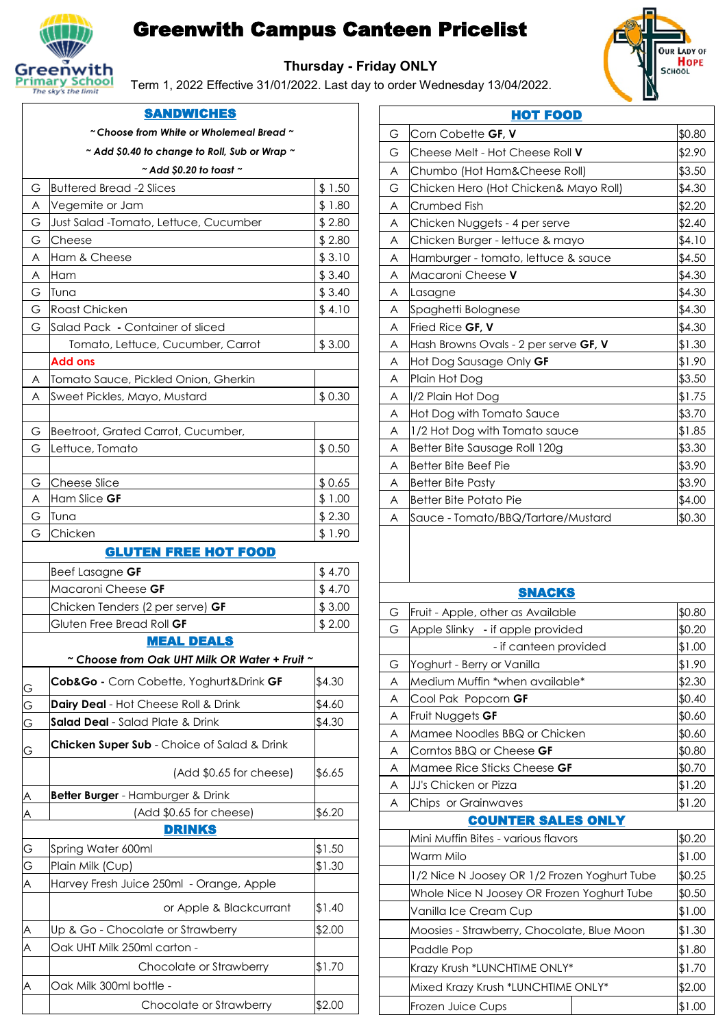

# Greenwith Campus Canteen Pricelist

**Thursday - Friday ONLY**

Term 1, 2022 Effective 31/01/2022. Last day to order Wednesday 13/04/2022.



|                | <b>SANDWICHES</b>                                       |                  |
|----------------|---------------------------------------------------------|------------------|
|                | $^\sim$ Choose from White or Wholemeal Bread $^\sim$    |                  |
|                | $\sim$ Add \$0.40 to change to Roll, Sub or Wrap $\sim$ |                  |
|                | $\sim$ Add \$0.20 to toast $\sim$                       |                  |
| G              | <b>Buttered Bread -2 Slices</b>                         | \$1.50           |
| A              | Vegemite or Jam                                         | \$1.80           |
| G              | Just Salad -Tomato, Lettuce, Cucumber                   | \$2.80           |
| G              | Cheese                                                  | \$2.80           |
| A              | Ham & Cheese                                            | \$3.10           |
| A              | Ham                                                     | \$3.40           |
| G              | Tuna                                                    | \$3.40           |
| G              | <b>Roast Chicken</b>                                    | \$4.10           |
| G              | Salad Pack - Container of sliced                        |                  |
|                | Tomato, Lettuce, Cucumber, Carrot                       | \$3.00           |
|                | <b>Add ons</b>                                          |                  |
| A              | Tomato Sauce, Pickled Onion, Gherkin                    |                  |
| A              | Sweet Pickles, Mayo, Mustard                            | \$0.30           |
|                |                                                         |                  |
| G              | Beetroot, Grated Carrot, Cucumber,                      |                  |
| G              | Lettuce, Tomato                                         | \$0.50           |
|                |                                                         |                  |
| G              | <b>Cheese Slice</b>                                     | \$0.65           |
| A              | Ham Slice GF<br>Tuna                                    | \$1.00           |
| G<br>G         | Chicken                                                 | \$2.30<br>\$1.90 |
|                | <b>GLUTEN FREE HOT FOOD</b>                             |                  |
|                |                                                         |                  |
|                | <b>Beef Lasagne GF</b>                                  | \$4.70           |
|                | Macaroni Cheese GF                                      | \$4.70           |
|                | Chicken Tenders (2 per serve) GF                        | \$3.00           |
|                | Gluten Free Bread Roll GF<br><b>MEAL DEALS</b>          | \$2.00           |
|                | ~ Choose from Oak UHT Milk OR Water + Fruit ~           |                  |
|                |                                                         |                  |
| $\overline{G}$ | Cob&Go - Corn Cobette, Yoghurt&Drink GF                 | \$4.30           |
| $\overline{G}$ | Dairy Deal - Hot Cheese Roll & Drink                    | \$4.60           |
| G              | Salad Deal - Salad Plate & Drink                        | \$4.30           |
| $\overline{G}$ | Chicken Super Sub - Choice of Salad & Drink             |                  |
|                | (Add \$0.65 for cheese)                                 | \$6.65           |
| $\triangle$    | Better Burger - Hamburger & Drink                       |                  |
| $\triangle$    | (Add \$0.65 for cheese)                                 | \$6.20           |
|                | <b>DRINKS</b>                                           |                  |
| G              | Spring Water 600ml                                      | \$1.50           |
| G              | Plain Milk (Cup)                                        | \$1.30           |
| A              | Harvey Fresh Juice 250ml - Orange, Apple                |                  |
|                | or Apple & Blackcurrant                                 | \$1.40           |
| $\triangle$    | Up & Go - Chocolate or Strawberry                       | \$2.00           |
| A              | Oak UHT Milk 250ml carton -                             |                  |
|                | Chocolate or Strawberry                                 | \$1.70           |
| A              | Oak Milk 300ml bottle -                                 |                  |
|                | Chocolate or Strawberry                                 | \$2.00           |

|   | <b>HOT FOOD</b>                       |        |
|---|---------------------------------------|--------|
| G | Corn Cobette GF, V                    | \$0.80 |
| G | Cheese Melt - Hot Cheese Roll V       | \$2.90 |
| A | Chumbo (Hot Ham&Cheese Roll)          | \$3.50 |
| G | Chicken Hero (Hot Chicken& Mayo Roll) | \$4.30 |
| A | Crumbed Fish                          | \$2.20 |
| A | Chicken Nuggets - 4 per serve         | \$2.40 |
| A | Chicken Burger - lettuce & mayo       | \$4.10 |
| A | Hamburger - tomato, lettuce & sauce   | \$4.50 |
| A | Macaroni Cheese V                     | \$4.30 |
| A | Lasagne                               | \$4.30 |
| A | Spaghetti Bolognese                   | \$4.30 |
| A | Fried Rice GF, V                      | \$4.30 |
| A | Hash Browns Ovals - 2 per serve GF, V | \$1.30 |
| A | Hot Dog Sausage Only GF               | \$1.90 |
| A | Plain Hot Dog                         | \$3.50 |
| A | I/2 Plain Hot Dog                     | \$1.75 |
| A | Hot Dog with Tomato Sauce             | \$3.70 |
| A | 1/2 Hot Dog with Tomato sauce         | \$1.85 |
| A | Better Bite Sausage Roll 120g         | \$3.30 |
| A | <b>Better Bite Beef Pie</b>           | \$3.90 |
| A | <b>Better Bite Pasty</b>              | \$3.90 |
| A | <b>Better Bite Potato Pie</b>         | \$4.00 |
| A | Sauce - Tomato/BBQ/Tartare/Mustard    | \$0.30 |
|   |                                       |        |
|   |                                       |        |
|   | <b>SNACKS</b>                         |        |
| G | Fruit - Apple, other as Available     | \$0.80 |

| G | Fruit - Apple, other as Available            | \$0.80 |
|---|----------------------------------------------|--------|
| G | Apple Slinky - if apple provided             | \$0.20 |
|   | - if canteen provided                        | \$1.00 |
| G | Yoghurt - Berry or Vanilla                   | \$1.90 |
| A | Medium Muffin *when available*               | \$2.30 |
| A | Cool Pak Popcorn GF                          | \$0.40 |
| A | Fruit Nuggets GF                             | \$0.60 |
| A | Mamee Noodles BBQ or Chicken                 | \$0.60 |
| A | Corntos BBQ or Cheese <b>GF</b>              | \$0.80 |
| A | Mamee Rice Sticks Cheese <b>GF</b>           | \$0.70 |
| A | JJ's Chicken or Pizza                        | \$1.20 |
| A | Chips or Grainwaves                          | \$1.20 |
|   | <b>COUNTER SALES ONLY</b>                    |        |
|   | Mini Muffin Bites - various flavors          | \$0.20 |
|   | Warm Milo                                    | \$1.00 |
|   | 1/2 Nice N Joosey OR 1/2 Frozen Yoghurt Tube | \$0.25 |
|   | Whole Nice N Joosey OR Frozen Yoghurt Tube   | \$0.50 |
|   | Vanilla Ice Cream Cup                        | \$1.00 |
|   | Moosies - Strawberry, Chocolate, Blue Moon   | \$1.30 |
|   | Paddle Pop                                   | \$1.80 |
|   | Krazy Krush *LUNCHTIME ONLY*                 | \$1.70 |
|   | Mixed Krazy Krush *LUNCHTIME ONLY*           | \$2.00 |
|   | Frozen Juice Cups                            | \$1.00 |